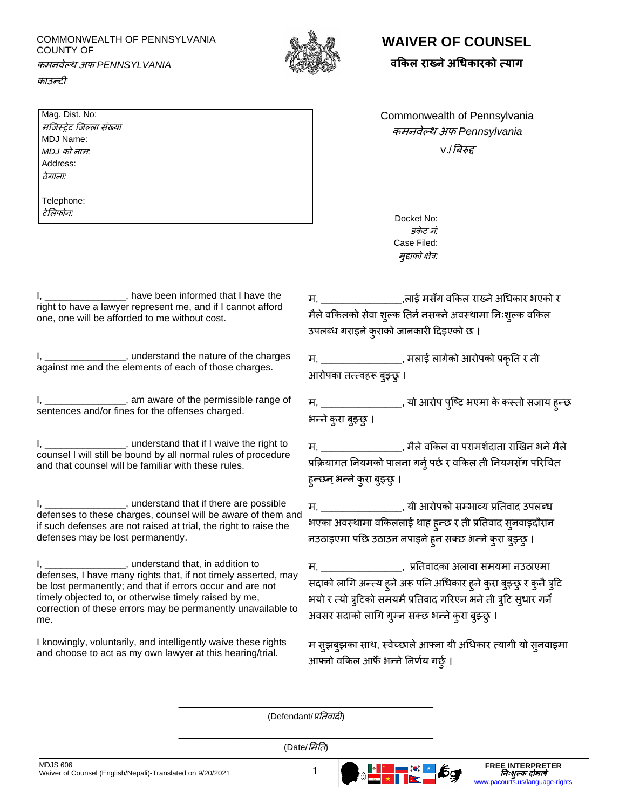COMMONWEALTH OF PENNSYLVANIA COUNTY OF कमनवेल्थ अफ *PENNSYLVANIA* 



## **WAIVER OF COUNSEL**

**वककल राख् ेअधिकारको त्याग**

काउन्टी

Mag. Dist. No: मष्जस्रेट ष्जल्ला संख्या MDJ Name: *MDJ* को नाम*:* Address: ठेगाना*:*

Telephone: टेमलफोन*:*

I, have been informed that I have the right to have a lawyer represent me, and if I cannot afford one, one will be afforded to me without cost.

1, understand the nature of the charges against me and the elements of each of those charges.

I, \_\_\_\_\_\_\_\_\_\_\_\_\_\_\_\_, am aware of the permissible range of sentences and/or fines for the offenses charged.

1, understand that if I waive the right to counsel I will still be bound by all normal rules of procedure and that counsel will be familiar with these rules.

I, \_\_\_\_\_\_\_\_\_\_\_\_\_\_\_\_, understand that if there are possible defenses to these charges, counsel will be aware of them and if such defenses are not raised at trial, the right to raise the defenses may be lost permanently.

I, \_\_\_\_\_\_\_\_\_\_\_\_\_\_\_, understand that, in addition to defenses, I have many rights that, if not timely asserted, may be lost permanently; and that if errors occur and are not timely objected to, or otherwise timely raised by me, correction of these errors may be permanently unavailable to me.

I knowingly, voluntarily, and intelligently waive these rights and choose to act as my own lawyer at this hearing/trial.

Commonwealth of Pennsylvania कमनवेल्थ अफ *Pennsylvania* v./बिरुद्द

> Docket No: *दकेट नं* Case Filed: मुद्दाको क्षेत्र*:*

म, \_\_\_\_\_\_\_\_\_\_\_\_\_\_\_,लाई मसँग वककल राख्नेअधिकार भएको र मैले वकिलको सेवा शुल्क तिर्न नसक्ने अवस्थामा निःशुल्क वकिल उपलब्ध गराइने कुराको जानकारी दिइएको छ ।

म, \_\_\_\_\_\_\_\_\_\_\_\_\_\_\_, मलाई लागेको आरोपको प्रकृति र िी आरोपका तत्त्वहरू बुझ्छु ।

म, \_\_\_\_\_\_\_\_\_\_\_\_\_\_\_\_, यो आरोप पुष्टि भएमा के कस्तो सजाय हुन्छ भन्ने कुरा बुझ्छु ।

म, \_\_\_\_\_\_\_\_\_\_\_\_\_\_\_, मैले वकिल वा परामर्शदाता राखिन भने मैले प्रक्रियागत नियमको पालना गर्न् पर्छ र वकिल ती नियमसँग परिचित हुन्छन् भन्ने कुरा बुझ्छ् ।

म, \_\_\_\_\_\_\_\_\_\_\_\_\_\_\_\_\_\_, यी आरोपको सम्भाव्य प्रतिवाद उपलब्ध भएका अवस्थामा वकिललाई थाह हुन्छ र ती प्रतिवाद सुनवाइदौरान नउठाइएमा पछि उठाउन नपाइने हुन सक्छ भन्ने कुरा बुझ्छु ।

म, \_\_\_\_\_\_\_\_\_\_\_\_\_\_\_, प्रतिवािका अलावा समयमा नउठाएमा सदाको लागि अन्त्य हुने अरू पनि अधिकार हुने कुरा बुझ्छु र कुनै त्रुटि भयो र त्यो त्रुटिको समयमै प्रतिवाद गरिएन भने ती त्रुटि सुधार गर्ने अवसर सदाको लागि गुम्न सक्छ भन्ने कुरा बुझ्छु ।

म सुझिुझका साथ, स्वेच्छालेआफ्ना यी अधिकार त्तयागी यो सुनवाइमा आफ्नो वकिल आफैँ भन्ने निर्णय गर्छु ।

\_\_\_\_\_\_\_\_\_\_\_\_\_\_\_\_\_\_\_\_\_\_\_\_\_\_\_\_\_\_\_\_ (Defendant/*प्रतिवादी*)

\_\_\_\_\_\_\_\_\_\_\_\_\_\_\_\_\_\_\_\_\_\_\_\_\_\_\_\_\_\_\_\_ (Date/ममति)